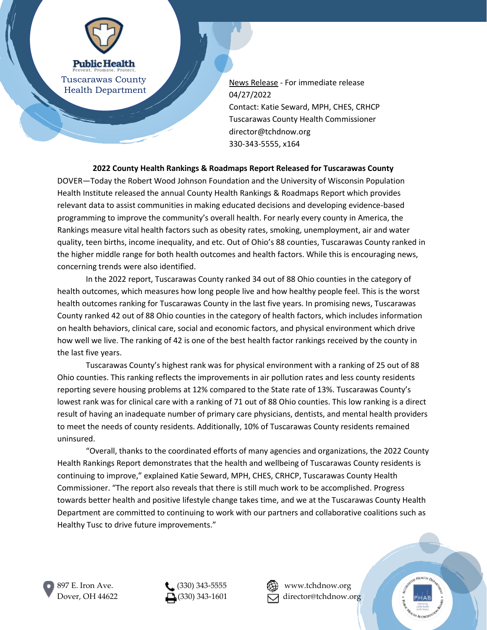

Tuscarawas County Health Department

News Release - For immediate release 04/27/2022 Contact: Katie Seward, MPH, CHES, CRHCP Tuscarawas County Health Commissioner director@tchdnow.org 330-343-5555, x164

**2022 County Health Rankings & Roadmaps Report Released for Tuscarawas County**

DOVER—Today the Robert Wood Johnson Foundation and the University of Wisconsin Population Health Institute released the annual County Health Rankings & Roadmaps Report which provides relevant data to assist communities in making educated decisions and developing evidence-based programming to improve the community's overall health. For nearly every county in America, the Rankings measure vital health factors such as obesity rates, smoking, unemployment, air and water quality, teen births, income inequality, and etc. Out of Ohio's 88 counties, Tuscarawas County ranked in the higher middle range for both health outcomes and health factors. While this is encouraging news, concerning trends were also identified.

In the 2022 report, Tuscarawas County ranked 34 out of 88 Ohio counties in the category of health outcomes, which measures how long people live and how healthy people feel. This is the worst health outcomes ranking for Tuscarawas County in the last five years. In promising news, Tuscarawas County ranked 42 out of 88 Ohio counties in the category of health factors, which includes information on health behaviors, clinical care, social and economic factors, and physical environment which drive how well we live. The ranking of 42 is one of the best health factor rankings received by the county in the last five years.

Tuscarawas County's highest rank was for physical environment with a ranking of 25 out of 88 Ohio counties. This ranking reflects the improvements in air pollution rates and less county residents reporting severe housing problems at 12% compared to the State rate of 13%. Tuscarawas County's lowest rank was for clinical care with a ranking of 71 out of 88 Ohio counties. This low ranking is a direct result of having an inadequate number of primary care physicians, dentists, and mental health providers to meet the needs of county residents. Additionally, 10% of Tuscarawas County residents remained uninsured.

"Overall, thanks to the coordinated efforts of many agencies and organizations, the 2022 County Health Rankings Report demonstrates that the health and wellbeing of Tuscarawas County residents is continuing to improve," explained Katie Seward, MPH, CHES, CRHCP, Tuscarawas County Health Commissioner. "The report also reveals that there is still much work to be accomplished. Progress towards better health and positive lifestyle change takes time, and we at the Tuscarawas County Health Department are committed to continuing to work with our partners and collaborative coalitions such as Healthy Tusc to drive future improvements."



897 E. Iron Ave.  $\bullet$  (330) 343-5555  $\bullet$   $\bullet$   $\bullet$  www.tchdnow.org

Dover, OH 44622  $\Box$ (330) 343-1601  $\Box$  director@tchdnow.org